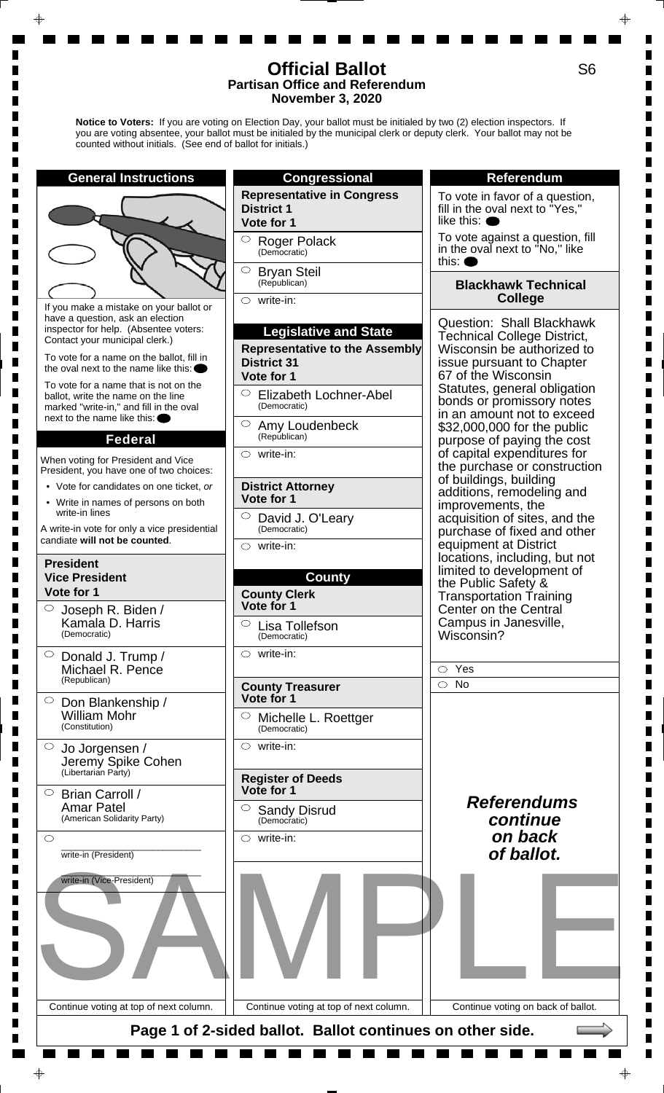**Notice to Voters:** If you are voting on Election Day, your ballot must be initialed by two (2) election inspectors. If you are voting absentee, your ballot must be initialed by the municipal clerk or deputy clerk. Your ballot may not be counted without initials. (See end of ballot for initials.)



S6

П  $\blacksquare$ 

П П П  $\blacksquare$  $\blacksquare$  $\blacksquare$ 

П

Г Г П

П  $\blacksquare$  $\blacksquare$ П Г П

ш П

Г П

П

Г П Г Г п

ш